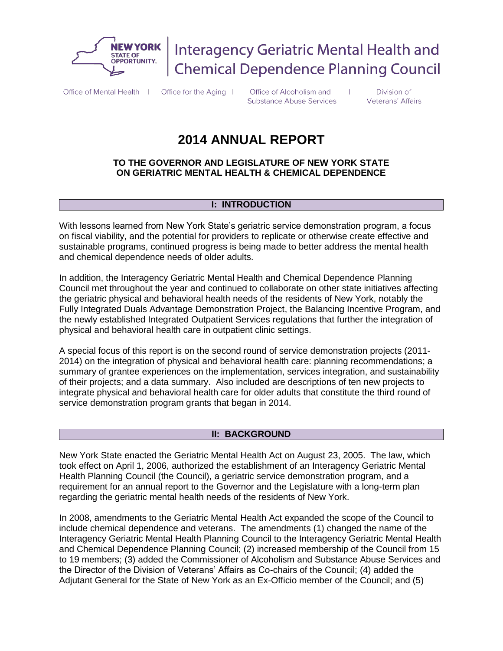

**Interagency Geriatric Mental Health and Chemical Dependence Planning Council** 

Office of Mental Health | Office for the Aging |

Office of Alcoholism and **Substance Abuse Services** 

Division of Veterans' Affairs

# **2014 ANNUAL REPORT**

# **TO THE GOVERNOR AND LEGISLATURE OF NEW YORK STATE ON GERIATRIC MENTAL HEALTH & CHEMICAL DEPENDENCE**

# **I: INTRODUCTION**

With lessons learned from New York State's geriatric service demonstration program, a focus on fiscal viability, and the potential for providers to replicate or otherwise create effective and sustainable programs, continued progress is being made to better address the mental health and chemical dependence needs of older adults.

In addition, the Interagency Geriatric Mental Health and Chemical Dependence Planning Council met throughout the year and continued to collaborate on other state initiatives affecting the geriatric physical and behavioral health needs of the residents of New York, notably the Fully Integrated Duals Advantage Demonstration Project, the Balancing Incentive Program, and the newly established Integrated Outpatient Services regulations that further the integration of physical and behavioral health care in outpatient clinic settings.

A special focus of this report is on the second round of service demonstration projects (2011- 2014) on the integration of physical and behavioral health care: planning recommendations; a summary of grantee experiences on the implementation, services integration, and sustainability of their projects; and a data summary. Also included are descriptions of ten new projects to integrate physical and behavioral health care for older adults that constitute the third round of service demonstration program grants that began in 2014.

# **II: BACKGROUND**

New York State enacted the Geriatric Mental Health Act on August 23, 2005. The law, which took effect on April 1, 2006, authorized the establishment of an Interagency Geriatric Mental Health Planning Council (the Council), a geriatric service demonstration program, and a requirement for an annual report to the Governor and the Legislature with a long-term plan regarding the geriatric mental health needs of the residents of New York.

In 2008, amendments to the Geriatric Mental Health Act expanded the scope of the Council to include chemical dependence and veterans. The amendments (1) changed the name of the Interagency Geriatric Mental Health Planning Council to the Interagency Geriatric Mental Health and Chemical Dependence Planning Council; (2) increased membership of the Council from 15 to 19 members; (3) added the Commissioner of Alcoholism and Substance Abuse Services and the Director of the Division of Veterans' Affairs as Co-chairs of the Council; (4) added the Adjutant General for the State of New York as an Ex-Officio member of the Council; and (5)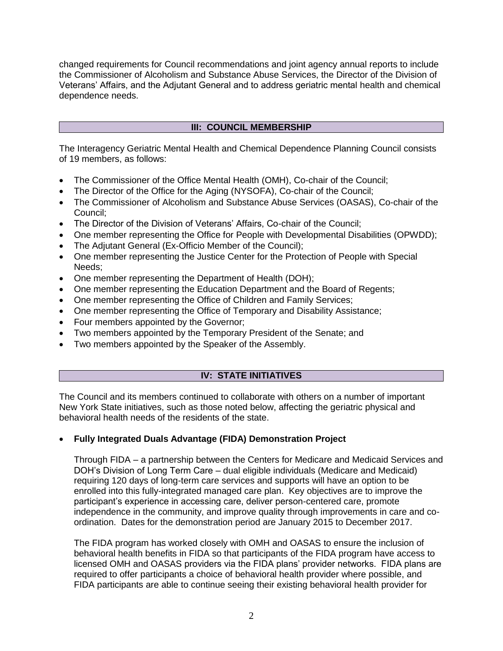changed requirements for Council recommendations and joint agency annual reports to include the Commissioner of Alcoholism and Substance Abuse Services, the Director of the Division of Veterans' Affairs, and the Adjutant General and to address geriatric mental health and chemical dependence needs.

# **III: COUNCIL MEMBERSHIP**

The Interagency Geriatric Mental Health and Chemical Dependence Planning Council consists of 19 members, as follows:

- The Commissioner of the Office Mental Health (OMH), Co-chair of the Council;
- The Director of the Office for the Aging (NYSOFA), Co-chair of the Council;
- The Commissioner of Alcoholism and Substance Abuse Services (OASAS), Co-chair of the Council;
- The Director of the Division of Veterans' Affairs, Co-chair of the Council;
- One member representing the Office for People with Developmental Disabilities (OPWDD);
- The Adjutant General (Ex-Officio Member of the Council);
- One member representing the Justice Center for the Protection of People with Special Needs;
- One member representing the Department of Health (DOH);
- One member representing the Education Department and the Board of Regents;
- One member representing the Office of Children and Family Services;
- One member representing the Office of Temporary and Disability Assistance;
- Four members appointed by the Governor;
- Two members appointed by the Temporary President of the Senate; and
- Two members appointed by the Speaker of the Assembly.

# **IV: STATE INITIATIVES**

The Council and its members continued to collaborate with others on a number of important New York State initiatives, such as those noted below, affecting the geriatric physical and behavioral health needs of the residents of the state.

# **Fully Integrated Duals Advantage (FIDA) Demonstration Project**

Through FIDA – a partnership between the Centers for Medicare and Medicaid Services and DOH's Division of Long Term Care – dual eligible individuals (Medicare and Medicaid) requiring 120 days of long-term care services and supports will have an option to be enrolled into this fully-integrated managed care plan. Key objectives are to improve the participant's experience in accessing care, deliver person-centered care, promote independence in the community, and improve quality through improvements in care and coordination. Dates for the demonstration period are January 2015 to December 2017.

The FIDA program has worked closely with OMH and OASAS to ensure the inclusion of behavioral health benefits in FIDA so that participants of the FIDA program have access to licensed OMH and OASAS providers via the FIDA plans' provider networks. FIDA plans are required to offer participants a choice of behavioral health provider where possible, and FIDA participants are able to continue seeing their existing behavioral health provider for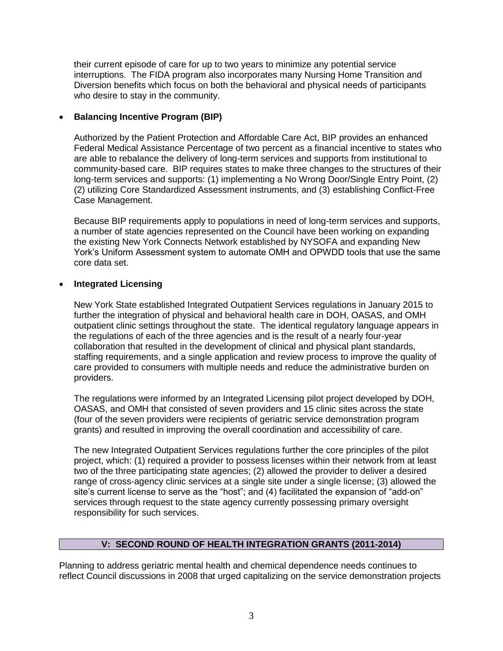their current episode of care for up to two years to minimize any potential service interruptions. The FIDA program also incorporates many Nursing Home Transition and Diversion benefits which focus on both the behavioral and physical needs of participants who desire to stay in the community.

# **Balancing Incentive Program (BIP)**

Authorized by the Patient Protection and Affordable Care Act, BIP provides an enhanced Federal Medical Assistance Percentage of two percent as a financial incentive to states who are able to rebalance the delivery of long-term services and supports from institutional to community-based care. BIP requires states to make three changes to the structures of their long-term services and supports: (1) implementing a No Wrong Door/Single Entry Point, (2) (2) utilizing Core Standardized Assessment instruments, and (3) establishing Conflict-Free Case Management.

Because BIP requirements apply to populations in need of long-term services and supports, a number of state agencies represented on the Council have been working on expanding the existing New York Connects Network established by NYSOFA and expanding New York's Uniform Assessment system to automate OMH and OPWDD tools that use the same core data set.

# **Integrated Licensing**

New York State established Integrated Outpatient Services regulations in January 2015 to further the integration of physical and behavioral health care in DOH, OASAS, and OMH outpatient clinic settings throughout the state. The identical regulatory language appears in the regulations of each of the three agencies and is the result of a nearly four-year collaboration that resulted in the development of clinical and physical plant standards, staffing requirements, and a single application and review process to improve the quality of care provided to consumers with multiple needs and reduce the administrative burden on providers.

The regulations were informed by an Integrated Licensing pilot project developed by DOH, OASAS, and OMH that consisted of seven providers and 15 clinic sites across the state (four of the seven providers were recipients of geriatric service demonstration program grants) and resulted in improving the overall coordination and accessibility of care.

The new Integrated Outpatient Services regulations further the core principles of the pilot project, which: (1) required a provider to possess licenses within their network from at least two of the three participating state agencies; (2) allowed the provider to deliver a desired range of cross-agency clinic services at a single site under a single license; (3) allowed the site's current license to serve as the "host"; and (4) facilitated the expansion of "add-on" services through request to the state agency currently possessing primary oversight responsibility for such services.

# **V: SECOND ROUND OF HEALTH INTEGRATION GRANTS (2011-2014)**

Planning to address geriatric mental health and chemical dependence needs continues to reflect Council discussions in 2008 that urged capitalizing on the service demonstration projects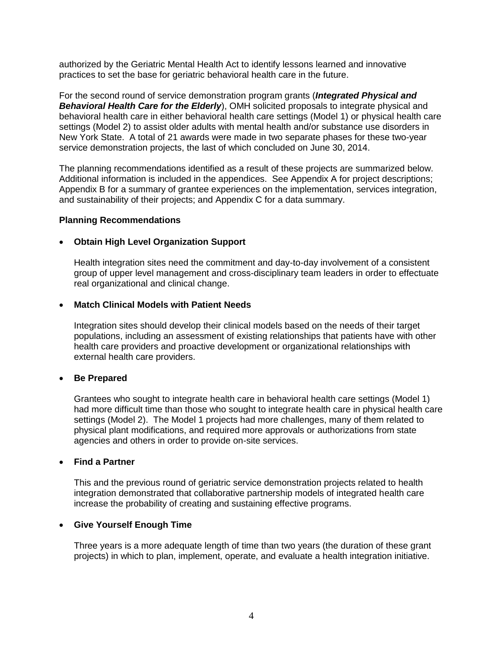authorized by the Geriatric Mental Health Act to identify lessons learned and innovative practices to set the base for geriatric behavioral health care in the future.

For the second round of service demonstration program grants (*Integrated Physical and Behavioral Health Care for the Elderly*), OMH solicited proposals to integrate physical and behavioral health care in either behavioral health care settings (Model 1) or physical health care settings (Model 2) to assist older adults with mental health and/or substance use disorders in New York State. A total of 21 awards were made in two separate phases for these two-year service demonstration projects, the last of which concluded on June 30, 2014.

The planning recommendations identified as a result of these projects are summarized below. Additional information is included in the appendices. See Appendix A for project descriptions; Appendix B for a summary of grantee experiences on the implementation, services integration, and sustainability of their projects; and Appendix C for a data summary.

#### **Planning Recommendations**

#### **Obtain High Level Organization Support**

Health integration sites need the commitment and day-to-day involvement of a consistent group of upper level management and cross-disciplinary team leaders in order to effectuate real organizational and clinical change.

#### **Match Clinical Models with Patient Needs**

Integration sites should develop their clinical models based on the needs of their target populations, including an assessment of existing relationships that patients have with other health care providers and proactive development or organizational relationships with external health care providers.

#### **Be Prepared**

Grantees who sought to integrate health care in behavioral health care settings (Model 1) had more difficult time than those who sought to integrate health care in physical health care settings (Model 2). The Model 1 projects had more challenges, many of them related to physical plant modifications, and required more approvals or authorizations from state agencies and others in order to provide on-site services.

#### **Find a Partner**

This and the previous round of geriatric service demonstration projects related to health integration demonstrated that collaborative partnership models of integrated health care increase the probability of creating and sustaining effective programs.

# **Give Yourself Enough Time**

Three years is a more adequate length of time than two years (the duration of these grant projects) in which to plan, implement, operate, and evaluate a health integration initiative.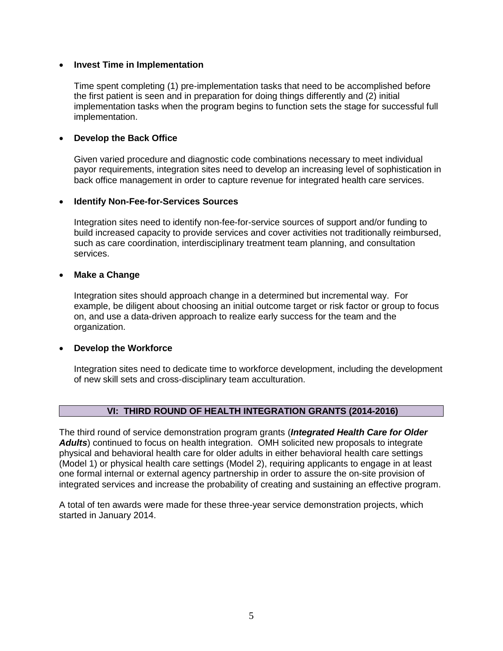#### **Invest Time in Implementation**

Time spent completing (1) pre-implementation tasks that need to be accomplished before the first patient is seen and in preparation for doing things differently and (2) initial implementation tasks when the program begins to function sets the stage for successful full implementation.

## **Develop the Back Office**

Given varied procedure and diagnostic code combinations necessary to meet individual payor requirements, integration sites need to develop an increasing level of sophistication in back office management in order to capture revenue for integrated health care services.

#### **Identify Non-Fee-for-Services Sources**

Integration sites need to identify non-fee-for-service sources of support and/or funding to build increased capacity to provide services and cover activities not traditionally reimbursed, such as care coordination, interdisciplinary treatment team planning, and consultation services.

#### **Make a Change**

Integration sites should approach change in a determined but incremental way. For example, be diligent about choosing an initial outcome target or risk factor or group to focus on, and use a data-driven approach to realize early success for the team and the organization.

#### **Develop the Workforce**

Integration sites need to dedicate time to workforce development, including the development of new skill sets and cross-disciplinary team acculturation.

# **VI: THIRD ROUND OF HEALTH INTEGRATION GRANTS (2014-2016)**

The third round of service demonstration program grants (*Integrated Health Care for Older Adults*) continued to focus on health integration. OMH solicited new proposals to integrate physical and behavioral health care for older adults in either behavioral health care settings (Model 1) or physical health care settings (Model 2), requiring applicants to engage in at least one formal internal or external agency partnership in order to assure the on-site provision of integrated services and increase the probability of creating and sustaining an effective program.

A total of ten awards were made for these three-year service demonstration projects, which started in January 2014.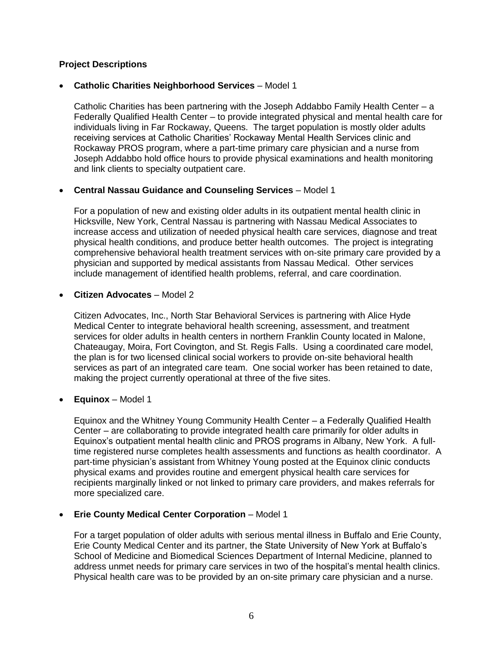# **Project Descriptions**

# **Catholic Charities Neighborhood Services** – Model 1

Catholic Charities has been partnering with the Joseph Addabbo Family Health Center – a Federally Qualified Health Center – to provide integrated physical and mental health care for individuals living in Far Rockaway, Queens. The target population is mostly older adults receiving services at Catholic Charities' Rockaway Mental Health Services clinic and Rockaway PROS program, where a part-time primary care physician and a nurse from Joseph Addabbo hold office hours to provide physical examinations and health monitoring and link clients to specialty outpatient care.

# **Central Nassau Guidance and Counseling Services** – Model 1

For a population of new and existing older adults in its outpatient mental health clinic in Hicksville, New York, Central Nassau is partnering with Nassau Medical Associates to increase access and utilization of needed physical health care services, diagnose and treat physical health conditions, and produce better health outcomes. The project is integrating comprehensive behavioral health treatment services with on-site primary care provided by a physician and supported by medical assistants from Nassau Medical. Other services include management of identified health problems, referral, and care coordination.

#### **Citizen Advocates** – Model 2

Citizen Advocates, Inc., North Star Behavioral Services is partnering with Alice Hyde Medical Center to integrate behavioral health screening, assessment, and treatment services for older adults in health centers in northern Franklin County located in Malone, Chateaugay, Moira, Fort Covington, and St. Regis Falls. Using a coordinated care model, the plan is for two licensed clinical social workers to provide on-site behavioral health services as part of an integrated care team. One social worker has been retained to date, making the project currently operational at three of the five sites.

# **Equinox** – Model 1

Equinox and the Whitney Young Community Health Center – a Federally Qualified Health Center – are collaborating to provide integrated health care primarily for older adults in Equinox's outpatient mental health clinic and PROS programs in Albany, New York. A fulltime registered nurse completes health assessments and functions as health coordinator. A part-time physician's assistant from Whitney Young posted at the Equinox clinic conducts physical exams and provides routine and emergent physical health care services for recipients marginally linked or not linked to primary care providers, and makes referrals for more specialized care.

# **Erie County Medical Center Corporation** – Model 1

For a target population of older adults with serious mental illness in Buffalo and Erie County, Erie County Medical Center and its partner, the State University of New York at Buffalo's School of Medicine and Biomedical Sciences Department of Internal Medicine, planned to address unmet needs for primary care services in two of the hospital's mental health clinics. Physical health care was to be provided by an on-site primary care physician and a nurse.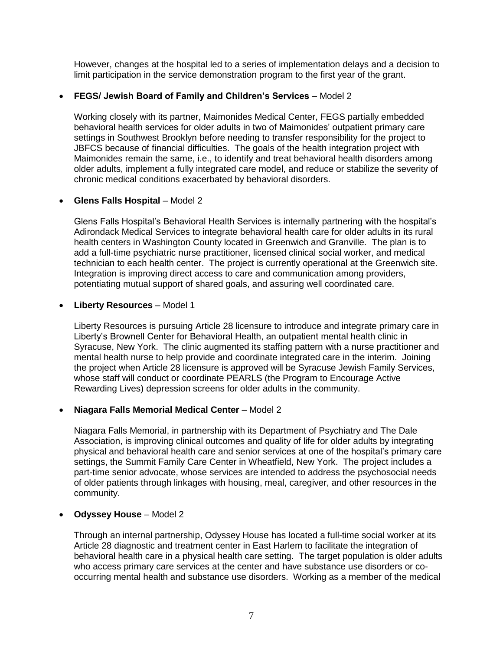However, changes at the hospital led to a series of implementation delays and a decision to limit participation in the service demonstration program to the first year of the grant.

## **FEGS/ Jewish Board of Family and Children's Services** – Model 2

Working closely with its partner, Maimonides Medical Center, FEGS partially embedded behavioral health services for older adults in two of Maimonides' outpatient primary care settings in Southwest Brooklyn before needing to transfer responsibility for the project to JBFCS because of financial difficulties. The goals of the health integration project with Maimonides remain the same, i.e., to identify and treat behavioral health disorders among older adults, implement a fully integrated care model, and reduce or stabilize the severity of chronic medical conditions exacerbated by behavioral disorders.

#### **Glens Falls Hospital** – Model 2

Glens Falls Hospital's Behavioral Health Services is internally partnering with the hospital's Adirondack Medical Services to integrate behavioral health care for older adults in its rural health centers in Washington County located in Greenwich and Granville. The plan is to add a full-time psychiatric nurse practitioner, licensed clinical social worker, and medical technician to each health center. The project is currently operational at the Greenwich site. Integration is improving direct access to care and communication among providers, potentiating mutual support of shared goals, and assuring well coordinated care.

#### **Liberty Resources** – Model 1

Liberty Resources is pursuing Article 28 licensure to introduce and integrate primary care in Liberty's Brownell Center for Behavioral Health, an outpatient mental health clinic in Syracuse, New York. The clinic augmented its staffing pattern with a nurse practitioner and mental health nurse to help provide and coordinate integrated care in the interim. Joining the project when Article 28 licensure is approved will be Syracuse Jewish Family Services, whose staff will conduct or coordinate PEARLS (the Program to Encourage Active Rewarding Lives) depression screens for older adults in the community.

# **Niagara Falls Memorial Medical Center** – Model 2

Niagara Falls Memorial, in partnership with its Department of Psychiatry and The Dale Association, is improving clinical outcomes and quality of life for older adults by integrating physical and behavioral health care and senior services at one of the hospital's primary care settings, the Summit Family Care Center in Wheatfield, New York. The project includes a part-time senior advocate, whose services are intended to address the psychosocial needs of older patients through linkages with housing, meal, caregiver, and other resources in the community.

# **Odyssey House** – Model 2

Through an internal partnership, Odyssey House has located a full-time social worker at its Article 28 diagnostic and treatment center in East Harlem to facilitate the integration of behavioral health care in a physical health care setting. The target population is older adults who access primary care services at the center and have substance use disorders or cooccurring mental health and substance use disorders. Working as a member of the medical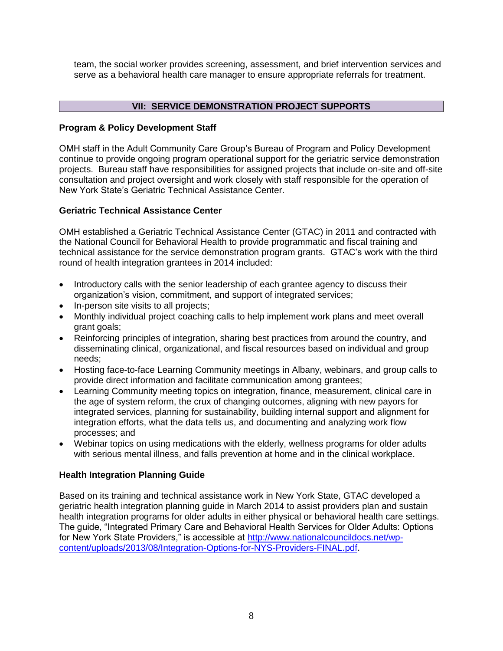team, the social worker provides screening, assessment, and brief intervention services and serve as a behavioral health care manager to ensure appropriate referrals for treatment.

# **VII: SERVICE DEMONSTRATION PROJECT SUPPORTS**

# **Program & Policy Development Staff**

OMH staff in the Adult Community Care Group's Bureau of Program and Policy Development continue to provide ongoing program operational support for the geriatric service demonstration projects. Bureau staff have responsibilities for assigned projects that include on-site and off-site consultation and project oversight and work closely with staff responsible for the operation of New York State's Geriatric Technical Assistance Center.

# **Geriatric Technical Assistance Center**

OMH established a Geriatric Technical Assistance Center (GTAC) in 2011 and contracted with the National Council for Behavioral Health to provide programmatic and fiscal training and technical assistance for the service demonstration program grants. GTAC's work with the third round of health integration grantees in 2014 included:

- Introductory calls with the senior leadership of each grantee agency to discuss their organization's vision, commitment, and support of integrated services;
- In-person site visits to all projects;
- Monthly individual project coaching calls to help implement work plans and meet overall grant goals;
- Reinforcing principles of integration, sharing best practices from around the country, and disseminating clinical, organizational, and fiscal resources based on individual and group needs;
- Hosting face-to-face Learning Community meetings in Albany, webinars, and group calls to provide direct information and facilitate communication among grantees;
- Learning Community meeting topics on integration, finance, measurement, clinical care in the age of system reform, the crux of changing outcomes, aligning with new payors for integrated services, planning for sustainability, building internal support and alignment for integration efforts, what the data tells us, and documenting and analyzing work flow processes; and
- Webinar topics on using medications with the elderly, wellness programs for older adults with serious mental illness, and falls prevention at home and in the clinical workplace.

# **Health Integration Planning Guide**

Based on its training and technical assistance work in New York State, GTAC developed a geriatric health integration planning guide in March 2014 to assist providers plan and sustain health integration programs for older adults in either physical or behavioral health care settings. The guide, "Integrated Primary Care and Behavioral Health Services for Older Adults: Options for New York State Providers," is accessible at [http://www.nationalcouncildocs.net/wp](http://www.nationalcouncildocs.net/wp-content/uploads/2013/08/Integration-Options-for-NYS-Providers-FINAL.pdf)[content/uploads/2013/08/Integration-Options-for-NYS-Providers-FINAL.pdf.](http://www.nationalcouncildocs.net/wp-content/uploads/2013/08/Integration-Options-for-NYS-Providers-FINAL.pdf)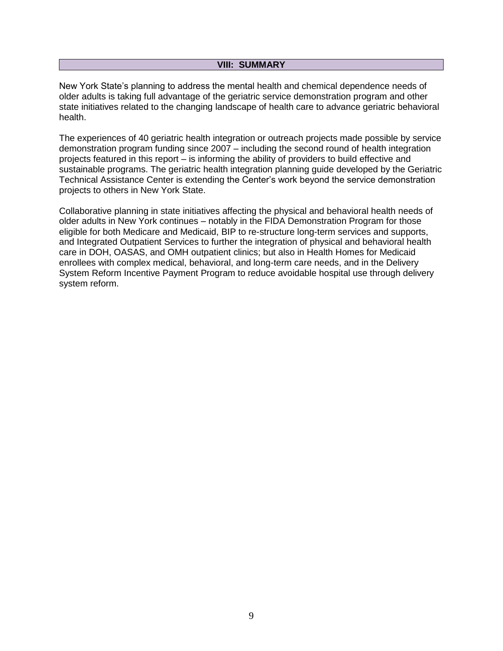#### **VIII: SUMMARY**

New York State's planning to address the mental health and chemical dependence needs of older adults is taking full advantage of the geriatric service demonstration program and other state initiatives related to the changing landscape of health care to advance geriatric behavioral health.

The experiences of 40 geriatric health integration or outreach projects made possible by service demonstration program funding since 2007 – including the second round of health integration projects featured in this report – is informing the ability of providers to build effective and sustainable programs. The geriatric health integration planning guide developed by the Geriatric Technical Assistance Center is extending the Center's work beyond the service demonstration projects to others in New York State.

Collaborative planning in state initiatives affecting the physical and behavioral health needs of older adults in New York continues – notably in the FIDA Demonstration Program for those eligible for both Medicare and Medicaid, BIP to re-structure long-term services and supports, and Integrated Outpatient Services to further the integration of physical and behavioral health care in DOH, OASAS, and OMH outpatient clinics; but also in Health Homes for Medicaid enrollees with complex medical, behavioral, and long-term care needs, and in the Delivery System Reform Incentive Payment Program to reduce avoidable hospital use through delivery system reform.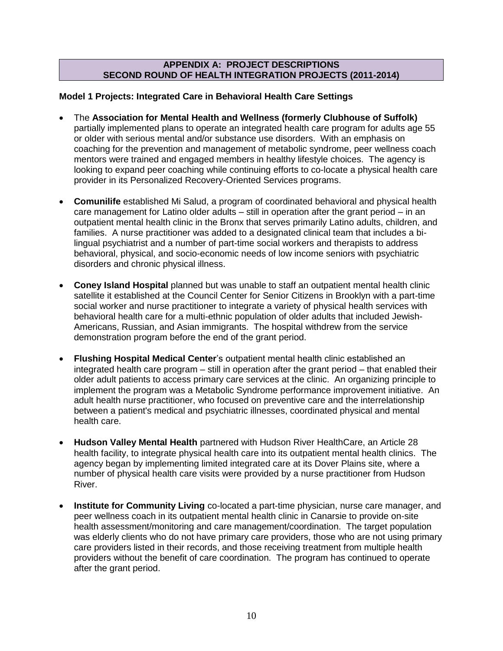## **APPENDIX A: PROJECT DESCRIPTIONS SECOND ROUND OF HEALTH INTEGRATION PROJECTS (2011-2014)**

# **Model 1 Projects: Integrated Care in Behavioral Health Care Settings**

- The **Association for Mental Health and Wellness (formerly Clubhouse of Suffolk)**  partially implemented plans to operate an integrated health care program for adults age 55 or older with serious mental and/or substance use disorders. With an emphasis on coaching for the prevention and management of metabolic syndrome, peer wellness coach mentors were trained and engaged members in healthy lifestyle choices. The agency is looking to expand peer coaching while continuing efforts to co-locate a physical health care provider in its Personalized Recovery-Oriented Services programs.
- **Comunilife** established Mi Salud, a program of coordinated behavioral and physical health care management for Latino older adults – still in operation after the grant period – in an outpatient mental health clinic in the Bronx that serves primarily Latino adults, children, and families. A nurse practitioner was added to a designated clinical team that includes a bilingual psychiatrist and a number of part-time social workers and therapists to address behavioral, physical, and socio-economic needs of low income seniors with psychiatric disorders and chronic physical illness.
- **Coney Island Hospital** planned but was unable to staff an outpatient mental health clinic satellite it established at the Council Center for Senior Citizens in Brooklyn with a part-time social worker and nurse practitioner to integrate a variety of physical health services with behavioral health care for a multi-ethnic population of older adults that included Jewish-Americans, Russian, and Asian immigrants. The hospital withdrew from the service demonstration program before the end of the grant period.
- **Flushing Hospital Medical Center**'s outpatient mental health clinic established an integrated health care program – still in operation after the grant period – that enabled their older adult patients to access primary care services at the clinic. An organizing principle to implement the program was a Metabolic Syndrome performance improvement initiative. An adult health nurse practitioner, who focused on preventive care and the interrelationship between a patient's medical and psychiatric illnesses, coordinated physical and mental health care.
- **Hudson Valley Mental Health** partnered with Hudson River HealthCare, an Article 28 health facility, to integrate physical health care into its outpatient mental health clinics. The agency began by implementing limited integrated care at its Dover Plains site, where a number of physical health care visits were provided by a nurse practitioner from Hudson River.
- **Institute for Community Living** co-located a part-time physician, nurse care manager, and peer wellness coach in its outpatient mental health clinic in Canarsie to provide on-site health assessment/monitoring and care management/coordination. The target population was elderly clients who do not have primary care providers, those who are not using primary care providers listed in their records, and those receiving treatment from multiple health providers without the benefit of care coordination. The program has continued to operate after the grant period.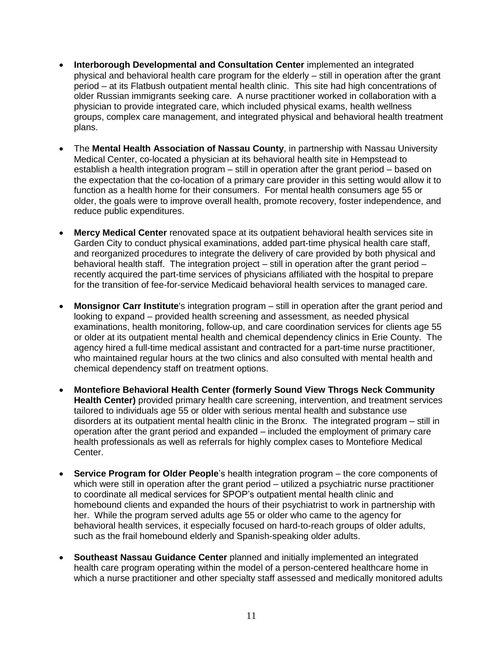- **Interborough Developmental and Consultation Center** implemented an integrated physical and behavioral health care program for the elderly – still in operation after the grant period – at its Flatbush outpatient mental health clinic. This site had high concentrations of older Russian immigrants seeking care. A nurse practitioner worked in collaboration with a physician to provide integrated care, which included physical exams, health wellness groups, complex care management, and integrated physical and behavioral health treatment plans.
- The **Mental Health Association of Nassau County**, in partnership with Nassau University Medical Center, co-located a physician at its behavioral health site in Hempstead to establish a health integration program – still in operation after the grant period – based on the expectation that the co-location of a primary care provider in this setting would allow it to function as a health home for their consumers. For mental health consumers age 55 or older, the goals were to improve overall health, promote recovery, foster independence, and reduce public expenditures.
- **Mercy Medical Center** renovated space at its outpatient behavioral health services site in Garden City to conduct physical examinations, added part-time physical health care staff, and reorganized procedures to integrate the delivery of care provided by both physical and behavioral health staff. The integration project – still in operation after the grant period – recently acquired the part-time services of physicians affiliated with the hospital to prepare for the transition of fee-for-service Medicaid behavioral health services to managed care.
- **Monsignor Carr Institute**'s integration program still in operation after the grant period and looking to expand – provided health screening and assessment, as needed physical examinations, health monitoring, follow-up, and care coordination services for clients age 55 or older at its outpatient mental health and chemical dependency clinics in Erie County. The agency hired a full-time medical assistant and contracted for a part-time nurse practitioner, who maintained regular hours at the two clinics and also consulted with mental health and chemical dependency staff on treatment options.
- **Montefiore Behavioral Health Center (formerly Sound View Throgs Neck Community Health Center)** provided primary health care screening, intervention, and treatment services tailored to individuals age 55 or older with serious mental health and substance use disorders at its outpatient mental health clinic in the Bronx. The integrated program – still in operation after the grant period and expanded – included the employment of primary care health professionals as well as referrals for highly complex cases to Montefiore Medical Center.
- **Service Program for Older People**'s health integration program the core components of which were still in operation after the grant period – utilized a psychiatric nurse practitioner to coordinate all medical services for SPOP's outpatient mental health clinic and homebound clients and expanded the hours of their psychiatrist to work in partnership with her. While the program served adults age 55 or older who came to the agency for behavioral health services, it especially focused on hard-to-reach groups of older adults, such as the frail homebound elderly and Spanish-speaking older adults.
- **Southeast Nassau Guidance Center** planned and initially implemented an integrated health care program operating within the model of a person-centered healthcare home in which a nurse practitioner and other specialty staff assessed and medically monitored adults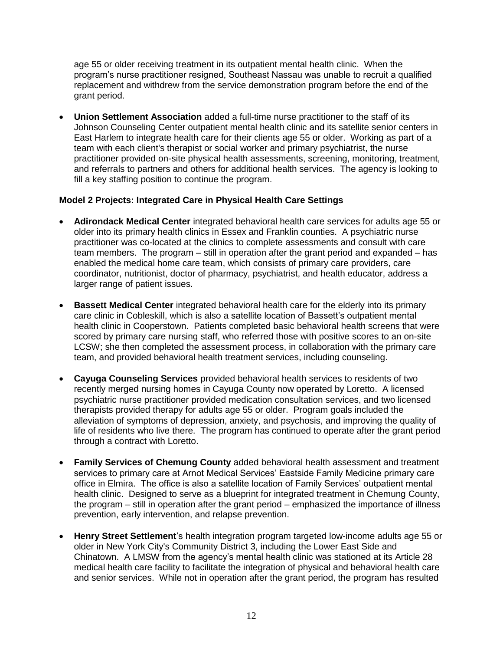age 55 or older receiving treatment in its outpatient mental health clinic. When the program's nurse practitioner resigned, Southeast Nassau was unable to recruit a qualified replacement and withdrew from the service demonstration program before the end of the grant period.

 **Union Settlement Association** added a full-time nurse practitioner to the staff of its Johnson Counseling Center outpatient mental health clinic and its satellite senior centers in East Harlem to integrate health care for their clients age 55 or older. Working as part of a team with each client's therapist or social worker and primary psychiatrist, the nurse practitioner provided on-site physical health assessments, screening, monitoring, treatment, and referrals to partners and others for additional health services. The agency is looking to fill a key staffing position to continue the program.

# **Model 2 Projects: Integrated Care in Physical Health Care Settings**

- **Adirondack Medical Center** integrated behavioral health care services for adults age 55 or older into its primary health clinics in Essex and Franklin counties. A psychiatric nurse practitioner was co-located at the clinics to complete assessments and consult with care team members. The program – still in operation after the grant period and expanded – has enabled the medical home care team, which consists of primary care providers, care coordinator, nutritionist, doctor of pharmacy, psychiatrist, and health educator, address a larger range of patient issues.
- **Bassett Medical Center** integrated behavioral health care for the elderly into its primary care clinic in Cobleskill, which is also a satellite location of Bassett's outpatient mental health clinic in Cooperstown. Patients completed basic behavioral health screens that were scored by primary care nursing staff, who referred those with positive scores to an on-site LCSW; she then completed the assessment process, in collaboration with the primary care team, and provided behavioral health treatment services, including counseling.
- **Cayuga Counseling Services** provided behavioral health services to residents of two recently merged nursing homes in Cayuga County now operated by Loretto. A licensed psychiatric nurse practitioner provided medication consultation services, and two licensed therapists provided therapy for adults age 55 or older. Program goals included the alleviation of symptoms of depression, anxiety, and psychosis, and improving the quality of life of residents who live there. The program has continued to operate after the grant period through a contract with Loretto.
- **Family Services of Chemung County** added behavioral health assessment and treatment services to primary care at Arnot Medical Services' Eastside Family Medicine primary care office in Elmira. The office is also a satellite location of Family Services' outpatient mental health clinic. Designed to serve as a blueprint for integrated treatment in Chemung County, the program – still in operation after the grant period – emphasized the importance of illness prevention, early intervention, and relapse prevention.
- **Henry Street Settlement**'s health integration program targeted low-income adults age 55 or older in New York City's Community District 3, including the Lower East Side and Chinatown. A LMSW from the agency's mental health clinic was stationed at its Article 28 medical health care facility to facilitate the integration of physical and behavioral health care and senior services. While not in operation after the grant period, the program has resulted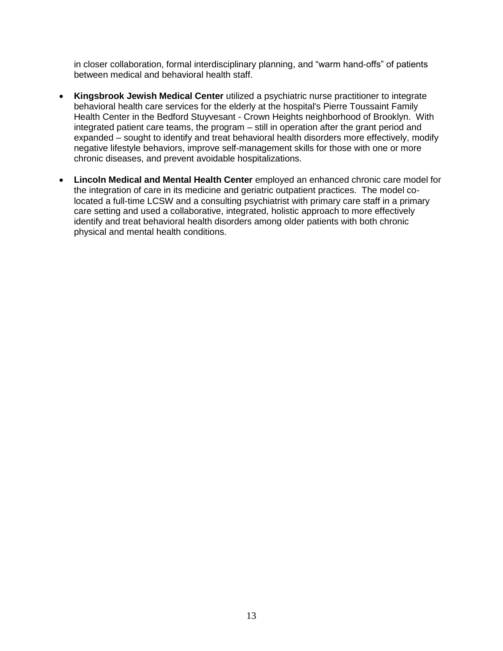in closer collaboration, formal interdisciplinary planning, and "warm hand-offs" of patients between medical and behavioral health staff.

- **Kingsbrook Jewish Medical Center** utilized a psychiatric nurse practitioner to integrate behavioral health care services for the elderly at the hospital's Pierre Toussaint Family Health Center in the Bedford Stuyvesant - Crown Heights neighborhood of Brooklyn. With integrated patient care teams, the program – still in operation after the grant period and expanded – sought to identify and treat behavioral health disorders more effectively, modify negative lifestyle behaviors, improve self-management skills for those with one or more chronic diseases, and prevent avoidable hospitalizations.
- **Lincoln Medical and Mental Health Center** employed an enhanced chronic care model for the integration of care in its medicine and geriatric outpatient practices. The model colocated a full-time LCSW and a consulting psychiatrist with primary care staff in a primary care setting and used a collaborative, integrated, holistic approach to more effectively identify and treat behavioral health disorders among older patients with both chronic physical and mental health conditions.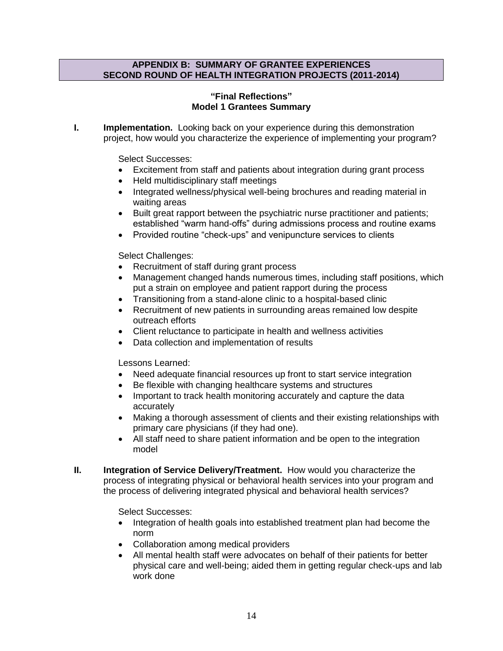#### **APPENDIX B: SUMMARY OF GRANTEE EXPERIENCES SECOND ROUND OF HEALTH INTEGRATION PROJECTS (2011-2014)**

# **"Final Reflections" Model 1 Grantees Summary**

**I. Implementation.** Looking back on your experience during this demonstration project, how would you characterize the experience of implementing your program?

Select Successes:

- Excitement from staff and patients about integration during grant process
- Held multidisciplinary staff meetings
- Integrated wellness/physical well-being brochures and reading material in waiting areas
- Built great rapport between the psychiatric nurse practitioner and patients; established "warm hand-offs" during admissions process and routine exams
- Provided routine "check-ups" and venipuncture services to clients

Select Challenges:

- Recruitment of staff during grant process
- Management changed hands numerous times, including staff positions, which put a strain on employee and patient rapport during the process
- Transitioning from a stand-alone clinic to a hospital-based clinic
- Recruitment of new patients in surrounding areas remained low despite outreach efforts
- Client reluctance to participate in health and wellness activities
- Data collection and implementation of results

Lessons Learned:

- Need adequate financial resources up front to start service integration
- Be flexible with changing healthcare systems and structures
- Important to track health monitoring accurately and capture the data accurately
- Making a thorough assessment of clients and their existing relationships with primary care physicians (if they had one).
- All staff need to share patient information and be open to the integration model
- **II. Integration of Service Delivery/Treatment.** How would you characterize the process of integrating physical or behavioral health services into your program and the process of delivering integrated physical and behavioral health services?

Select Successes:

- Integration of health goals into established treatment plan had become the norm
- Collaboration among medical providers
- All mental health staff were advocates on behalf of their patients for better physical care and well-being; aided them in getting regular check-ups and lab work done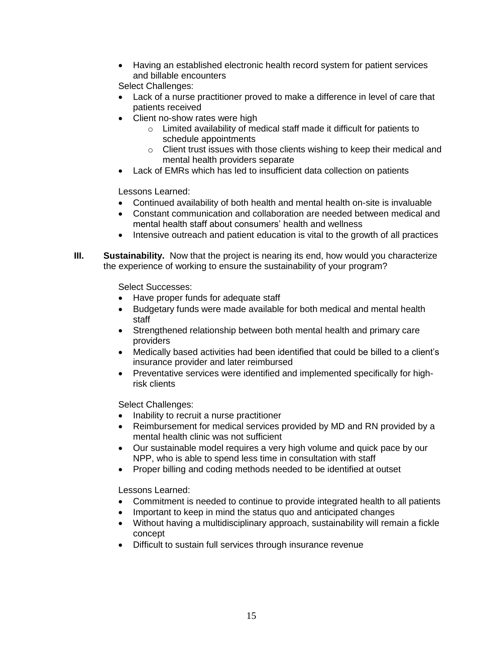Having an established electronic health record system for patient services and billable encounters

Select Challenges:

- Lack of a nurse practitioner proved to make a difference in level of care that patients received
- Client no-show rates were high
	- o Limited availability of medical staff made it difficult for patients to schedule appointments
	- o Client trust issues with those clients wishing to keep their medical and mental health providers separate
- Lack of EMRs which has led to insufficient data collection on patients

Lessons Learned:

- Continued availability of both health and mental health on-site is invaluable
- Constant communication and collaboration are needed between medical and mental health staff about consumers' health and wellness
- Intensive outreach and patient education is vital to the growth of all practices
- **III. Sustainability.** Now that the project is nearing its end, how would you characterize the experience of working to ensure the sustainability of your program?

Select Successes:

- Have proper funds for adequate staff
- Budgetary funds were made available for both medical and mental health staff
- Strengthened relationship between both mental health and primary care providers
- Medically based activities had been identified that could be billed to a client's insurance provider and later reimbursed
- Preventative services were identified and implemented specifically for highrisk clients

Select Challenges:

- Inability to recruit a nurse practitioner
- Reimbursement for medical services provided by MD and RN provided by a mental health clinic was not sufficient
- Our sustainable model requires a very high volume and quick pace by our NPP, who is able to spend less time in consultation with staff
- Proper billing and coding methods needed to be identified at outset

Lessons Learned:

- Commitment is needed to continue to provide integrated health to all patients
- Important to keep in mind the status quo and anticipated changes
- Without having a multidisciplinary approach, sustainability will remain a fickle concept
- Difficult to sustain full services through insurance revenue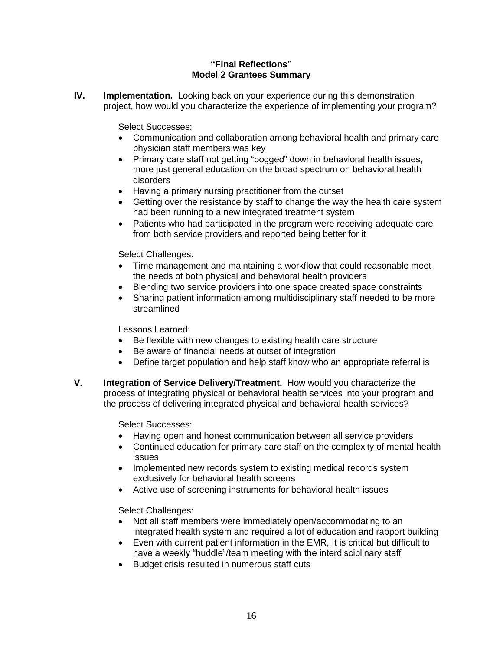# **"Final Reflections" Model 2 Grantees Summary**

**IV. Implementation.** Looking back on your experience during this demonstration project, how would you characterize the experience of implementing your program?

Select Successes:

- Communication and collaboration among behavioral health and primary care physician staff members was key
- Primary care staff not getting "bogged" down in behavioral health issues, more just general education on the broad spectrum on behavioral health disorders
- Having a primary nursing practitioner from the outset
- Getting over the resistance by staff to change the way the health care system had been running to a new integrated treatment system
- Patients who had participated in the program were receiving adequate care from both service providers and reported being better for it

Select Challenges:

- Time management and maintaining a workflow that could reasonable meet the needs of both physical and behavioral health providers
- Blending two service providers into one space created space constraints
- Sharing patient information among multidisciplinary staff needed to be more streamlined

Lessons Learned:

- Be flexible with new changes to existing health care structure
- Be aware of financial needs at outset of integration
- Define target population and help staff know who an appropriate referral is
- **V. Integration of Service Delivery/Treatment.** How would you characterize the process of integrating physical or behavioral health services into your program and the process of delivering integrated physical and behavioral health services?

Select Successes:

- Having open and honest communication between all service providers
- Continued education for primary care staff on the complexity of mental health issues
- Implemented new records system to existing medical records system exclusively for behavioral health screens
- Active use of screening instruments for behavioral health issues

Select Challenges:

- Not all staff members were immediately open/accommodating to an integrated health system and required a lot of education and rapport building
- Even with current patient information in the EMR, It is critical but difficult to have a weekly "huddle"/team meeting with the interdisciplinary staff
- Budget crisis resulted in numerous staff cuts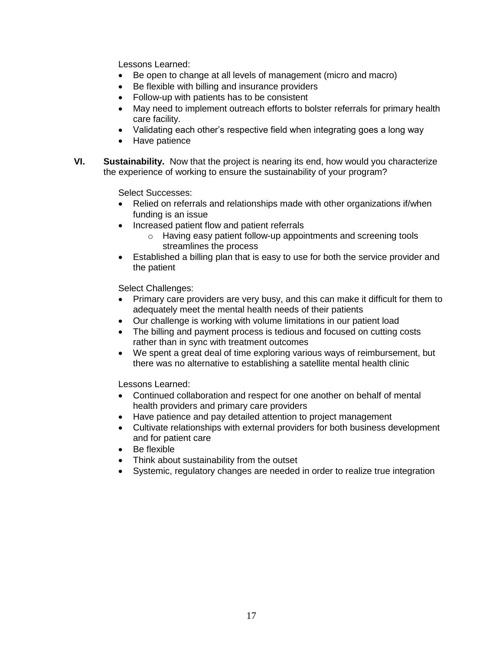Lessons Learned:

- Be open to change at all levels of management (micro and macro)
- Be flexible with billing and insurance providers
- Follow-up with patients has to be consistent
- May need to implement outreach efforts to bolster referrals for primary health care facility.
- Validating each other's respective field when integrating goes a long way
- Have patience
- **VI. Sustainability.** Now that the project is nearing its end, how would you characterize the experience of working to ensure the sustainability of your program?

Select Successes:

- Relied on referrals and relationships made with other organizations if/when funding is an issue
- Increased patient flow and patient referrals
	- o Having easy patient follow-up appointments and screening tools streamlines the process
- Established a billing plan that is easy to use for both the service provider and the patient

Select Challenges:

- Primary care providers are very busy, and this can make it difficult for them to adequately meet the mental health needs of their patients
- Our challenge is working with volume limitations in our patient load
- The billing and payment process is tedious and focused on cutting costs rather than in sync with treatment outcomes
- We spent a great deal of time exploring various ways of reimbursement, but there was no alternative to establishing a satellite mental health clinic

Lessons Learned:

- Continued collaboration and respect for one another on behalf of mental health providers and primary care providers
- Have patience and pay detailed attention to project management
- Cultivate relationships with external providers for both business development and for patient care
- Be flexible
- Think about sustainability from the outset
- Systemic, regulatory changes are needed in order to realize true integration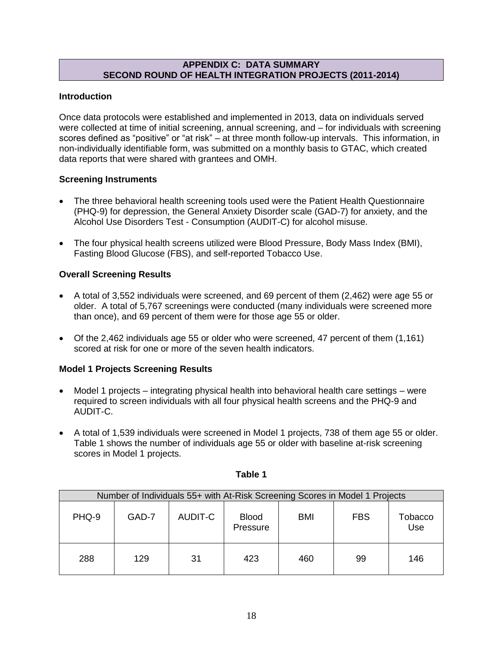# **APPENDIX C: DATA SUMMARY SECOND ROUND OF HEALTH INTEGRATION PROJECTS (2011-2014)**

# **Introduction**

Once data protocols were established and implemented in 2013, data on individuals served were collected at time of initial screening, annual screening, and – for individuals with screening scores defined as "positive" or "at risk" – at three month follow-up intervals. This information, in non-individually identifiable form, was submitted on a monthly basis to GTAC, which created data reports that were shared with grantees and OMH.

# **Screening Instruments**

- The three behavioral health screening tools used were the Patient Health Questionnaire (PHQ-9) for depression, the General Anxiety Disorder scale (GAD-7) for anxiety, and the Alcohol Use Disorders Test - Consumption (AUDIT-C) for alcohol misuse.
- The four physical health screens utilized were Blood Pressure, Body Mass Index (BMI), Fasting Blood Glucose (FBS), and self-reported Tobacco Use.

# **Overall Screening Results**

- A total of 3,552 individuals were screened, and 69 percent of them (2,462) were age 55 or older. A total of 5,767 screenings were conducted (many individuals were screened more than once), and 69 percent of them were for those age 55 or older.
- Of the 2,462 individuals age 55 or older who were screened, 47 percent of them (1,161) scored at risk for one or more of the seven health indicators.

# **Model 1 Projects Screening Results**

- Model 1 projects integrating physical health into behavioral health care settings were required to screen individuals with all four physical health screens and the PHQ-9 and AUDIT-C.
- A total of 1,539 individuals were screened in Model 1 projects, 738 of them age 55 or older. Table 1 shows the number of individuals age 55 or older with baseline at-risk screening scores in Model 1 projects.

| Number of Individuals 55+ with At-Risk Screening Scores in Model 1 Projects |       |         |                          |     |            |                |  |  |  |
|-----------------------------------------------------------------------------|-------|---------|--------------------------|-----|------------|----------------|--|--|--|
| PHQ-9                                                                       | GAD-7 | AUDIT-C | <b>Blood</b><br>Pressure | BMI | <b>FBS</b> | Tobacco<br>Use |  |  |  |
| 288                                                                         | 129   | 31      | 423                      | 460 | 99         | 146            |  |  |  |

# **Table 1**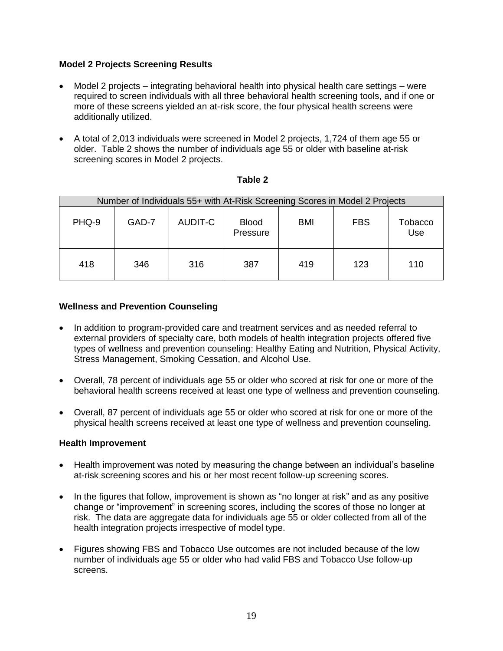# **Model 2 Projects Screening Results**

- Model 2 projects integrating behavioral health into physical health care settings were required to screen individuals with all three behavioral health screening tools, and if one or more of these screens yielded an at-risk score, the four physical health screens were additionally utilized.
- A total of 2,013 individuals were screened in Model 2 projects, 1,724 of them age 55 or older. Table 2 shows the number of individuals age 55 or older with baseline at-risk screening scores in Model 2 projects.

| Number of Individuals 55+ with At-Risk Screening Scores in Model 2 Projects |       |         |                          |     |            |                |  |  |  |
|-----------------------------------------------------------------------------|-------|---------|--------------------------|-----|------------|----------------|--|--|--|
| PHQ-9                                                                       | GAD-7 | AUDIT-C | <b>Blood</b><br>Pressure | BMI | <b>FBS</b> | Tobacco<br>Use |  |  |  |
| 418                                                                         | 346   | 316     | 387                      | 419 | 123        | 110            |  |  |  |

| ч.<br>×<br>v<br>۰. |  |
|--------------------|--|
|--------------------|--|

# **Wellness and Prevention Counseling**

- In addition to program-provided care and treatment services and as needed referral to external providers of specialty care, both models of health integration projects offered five types of wellness and prevention counseling: Healthy Eating and Nutrition, Physical Activity, Stress Management, Smoking Cessation, and Alcohol Use.
- Overall, 78 percent of individuals age 55 or older who scored at risk for one or more of the behavioral health screens received at least one type of wellness and prevention counseling.
- Overall, 87 percent of individuals age 55 or older who scored at risk for one or more of the physical health screens received at least one type of wellness and prevention counseling.

#### **Health Improvement**

- Health improvement was noted by measuring the change between an individual's baseline at-risk screening scores and his or her most recent follow-up screening scores.
- In the figures that follow, improvement is shown as "no longer at risk" and as any positive change or "improvement" in screening scores, including the scores of those no longer at risk. The data are aggregate data for individuals age 55 or older collected from all of the health integration projects irrespective of model type.
- Figures showing FBS and Tobacco Use outcomes are not included because of the low number of individuals age 55 or older who had valid FBS and Tobacco Use follow-up screens.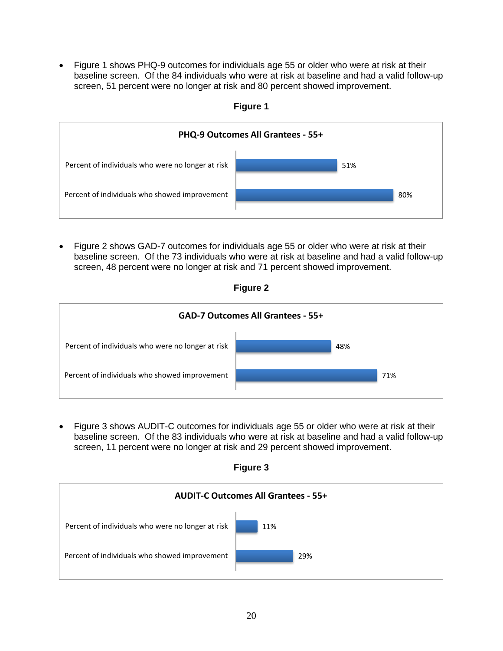Figure 1 shows PHQ-9 outcomes for individuals age 55 or older who were at risk at their baseline screen. Of the 84 individuals who were at risk at baseline and had a valid follow-up screen, 51 percent were no longer at risk and 80 percent showed improvement.



**Figure 1** 

 Figure 2 shows GAD-7 outcomes for individuals age 55 or older who were at risk at their baseline screen. Of the 73 individuals who were at risk at baseline and had a valid follow-up screen, 48 percent were no longer at risk and 71 percent showed improvement.





 Figure 3 shows AUDIT-C outcomes for individuals age 55 or older who were at risk at their baseline screen. Of the 83 individuals who were at risk at baseline and had a valid follow-up screen, 11 percent were no longer at risk and 29 percent showed improvement.